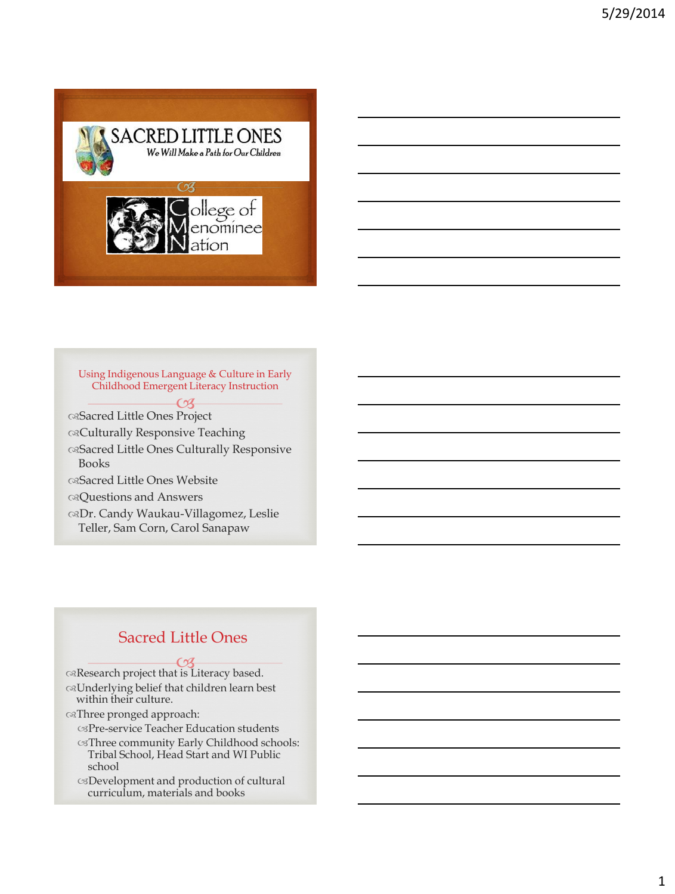

Using Indigenous Language & Culture in Early Childhood Emergent Literacy Instruction

 $68-$ Sacred Little Ones Project Culturally Responsive Teaching

Sacred Little Ones Culturally Responsive Books

Sacred Little Ones Website

Questions and Answers

Dr. Candy Waukau-Villagomez, Leslie Teller, Sam Corn, Carol Sanapaw

#### Sacred Little Ones

**CA**<br>
Research project that is Literacy based. Underlying belief that children learn best within their culture.

Three pronged approach:

Pre-service Teacher Education students

Three community Early Childhood schools: Tribal School, Head Start and WI Public school

Development and production of cultural curriculum, materials and books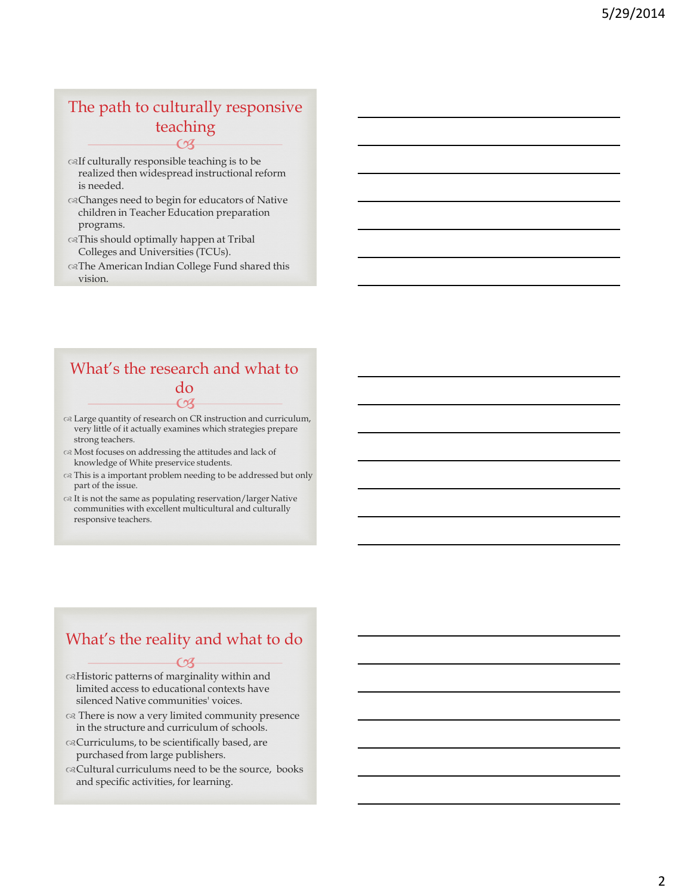#### $62$ The path to culturally responsive teaching

- $\otimes$  If culturally responsible teaching is to be realized then widespread instructional reform is needed.
- Changes need to begin for educators of Native children in Teacher Education preparation programs.
- This should optimally happen at Tribal Colleges and Universities (TCUs).
- The American Indian College Fund shared this vision.

### $\Omega$ What's the research and what to do

- Large quantity of research on CR instruction and curriculum, very little of it actually examines which strategies prepare strong teachers.
- Most focuses on addressing the attitudes and lack of knowledge of White preservice students.
- This is a important problem needing to be addressed but only part of the issue.
- $\alpha$  It is not the same as populating reservation/larger Native communities with excellent multicultural and culturally responsive teachers.

#### What's the reality and what to do

- **CB** Historic patterns of marginality within and limited access to educational contexts have silenced Native communities' voices.
- There is now a very limited community presence in the structure and curriculum of schools.
- Curriculums, to be scientifically based, are purchased from large publishers.
- Cultural curriculums need to be the source, books and specific activities, for learning.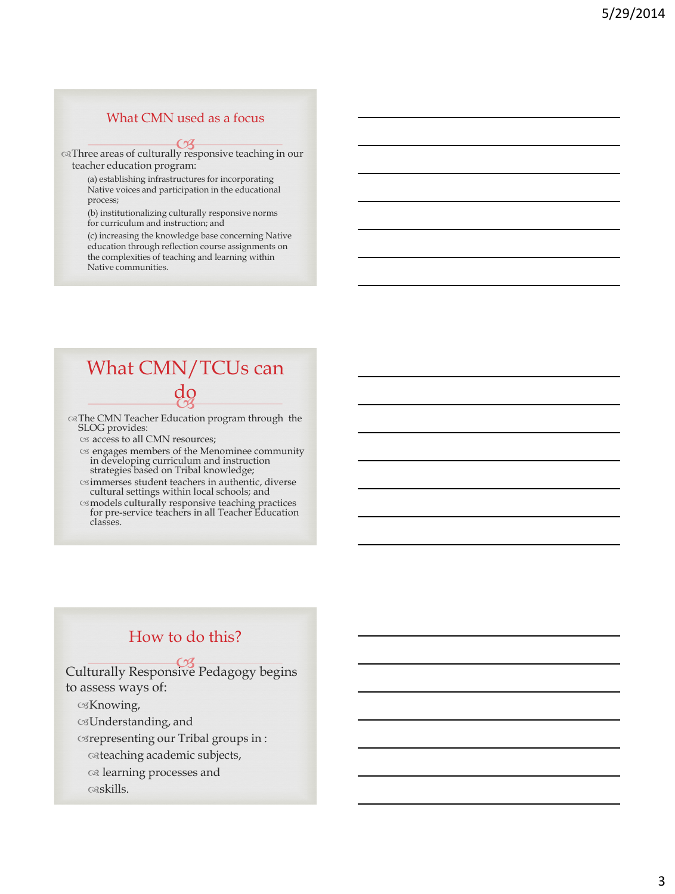#### What CMN used as a focus

Three areas of culturally responsive teaching in our teacher education program:

> (a) establishing infrastructures for incorporating Native voices and participation in the educational process;

(b) institutionalizing culturally responsive norms for curriculum and instruction; and

(c) increasing the knowledge base concerning Native education through reflection course assignments on the complexities of teaching and learning within Native communities.

#### uy<br>C3 What CMN/TCUs can do

The CMN Teacher Education program through the SLOG provides:

os access to all CMN resources;

- engages members of the Menominee community in developing curriculum and instruction strategies based on Tribal knowledge;
- immerses student teachers in authentic, diverse cultural settings within local schools; and
- models culturally responsive teaching practices for pre-service teachers in all Teacher Education classes.

#### How to do this?

Culturally Responsive Pedagogy begins to assess ways of:

Knowing,

Understanding, and

representing our Tribal groups in :

teaching academic subjects,

learning processes and

skills.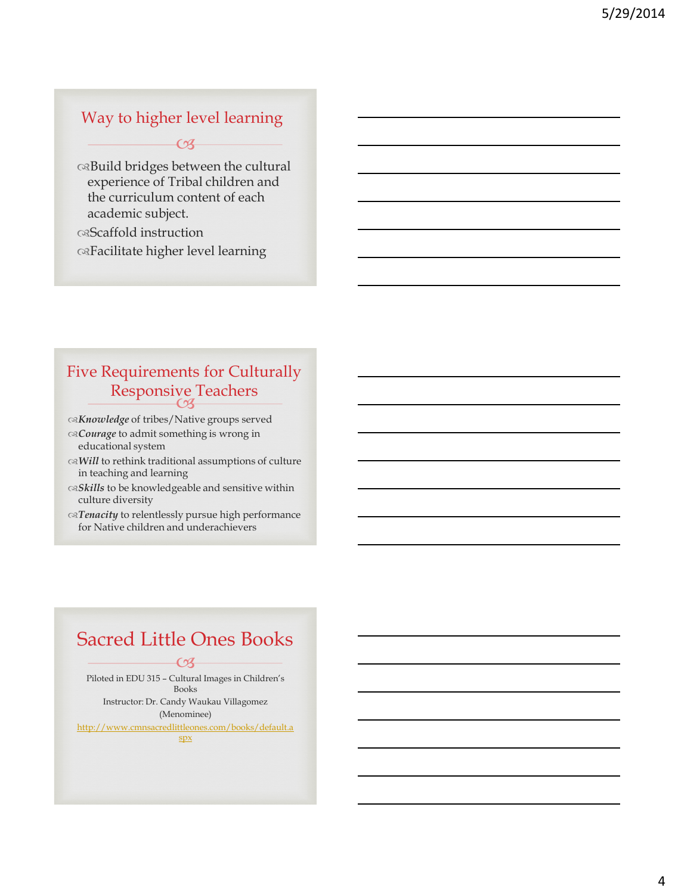#### Way to higher level learning

 $-69-$ 

Build bridges between the cultural experience of Tribal children and the curriculum content of each academic subject.

Scaffold instruction

Facilitate higher level learning

## Responsive Teachers Five Requirements for Culturally

*Knowledge* of tribes/Native groups served

- *Courage* to admit something is wrong in educational system
- *Will* to rethink traditional assumptions of culture in teaching and learning
- *Skills* to be knowledgeable and sensitive within culture diversity
- *Tenacity* to relentlessly pursue high performance for Native children and underachievers

## Sacred Little Ones Books

 $\overline{\mathcal{C}}$ Piloted in EDU 315 – Cultural Images in Children's Books Instructor: Dr. Candy Waukau Villagomez (Menominee) [http://www.cmnsacredlittleones.com/books/default.a](http://www.cmnsacredlittleones.com/books/default.aspx)

[spx](http://www.cmnsacredlittleones.com/books/default.aspx)